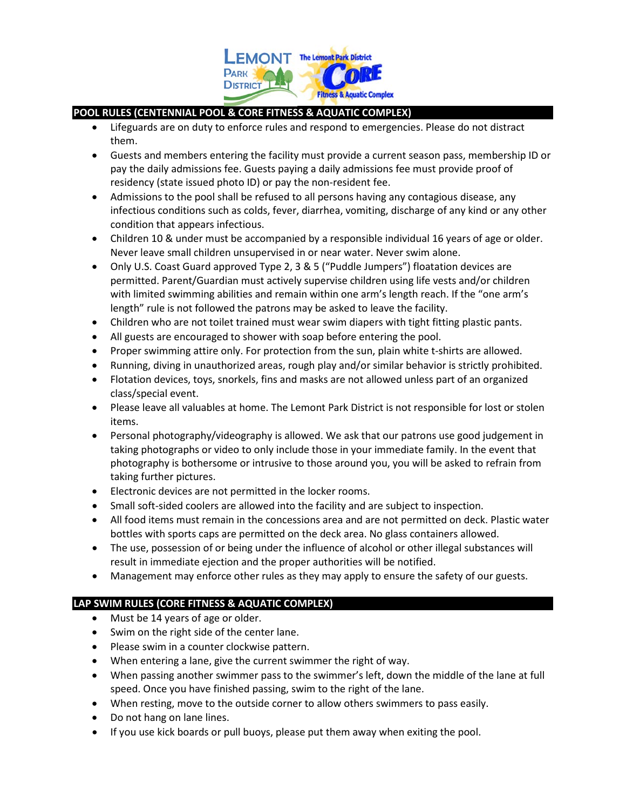

# **POOL RULES (CENTENNIAL POOL & CORE FITNESS & AQUATIC COMPLEX)**

- Lifeguards are on duty to enforce rules and respond to emergencies. Please do not distract them.
- Guests and members entering the facility must provide a current season pass, membership ID or pay the daily admissions fee. Guests paying a daily admissions fee must provide proof of residency (state issued photo ID) or pay the non-resident fee.
- Admissions to the pool shall be refused to all persons having any contagious disease, any infectious conditions such as colds, fever, diarrhea, vomiting, discharge of any kind or any other condition that appears infectious.
- Children 10 & under must be accompanied by a responsible individual 16 years of age or older. Never leave small children unsupervised in or near water. Never swim alone.
- Only U.S. Coast Guard approved Type 2, 3 & 5 ("Puddle Jumpers") floatation devices are permitted. Parent/Guardian must actively supervise children using life vests and/or children with limited swimming abilities and remain within one arm's length reach. If the "one arm's length" rule is not followed the patrons may be asked to leave the facility.
- Children who are not toilet trained must wear swim diapers with tight fitting plastic pants.
- All guests are encouraged to shower with soap before entering the pool.
- Proper swimming attire only. For protection from the sun, plain white t-shirts are allowed.
- Running, diving in unauthorized areas, rough play and/or similar behavior is strictly prohibited.
- Flotation devices, toys, snorkels, fins and masks are not allowed unless part of an organized class/special event.
- Please leave all valuables at home. The Lemont Park District is not responsible for lost or stolen items.
- Personal photography/videography is allowed. We ask that our patrons use good judgement in taking photographs or video to only include those in your immediate family. In the event that photography is bothersome or intrusive to those around you, you will be asked to refrain from taking further pictures.
- Electronic devices are not permitted in the locker rooms.
- Small soft-sided coolers are allowed into the facility and are subject to inspection.
- All food items must remain in the concessions area and are not permitted on deck. Plastic water bottles with sports caps are permitted on the deck area. No glass containers allowed.
- The use, possession of or being under the influence of alcohol or other illegal substances will result in immediate ejection and the proper authorities will be notified.
- Management may enforce other rules as they may apply to ensure the safety of our guests.

## **LAP SWIM RULES (CORE FITNESS & AQUATIC COMPLEX)**

- Must be 14 years of age or older.
- Swim on the right side of the center lane.
- Please swim in a counter clockwise pattern.
- When entering a lane, give the current swimmer the right of way.
- When passing another swimmer pass to the swimmer's left, down the middle of the lane at full speed. Once you have finished passing, swim to the right of the lane.
- When resting, move to the outside corner to allow others swimmers to pass easily.
- Do not hang on lane lines.
- If you use kick boards or pull buoys, please put them away when exiting the pool.